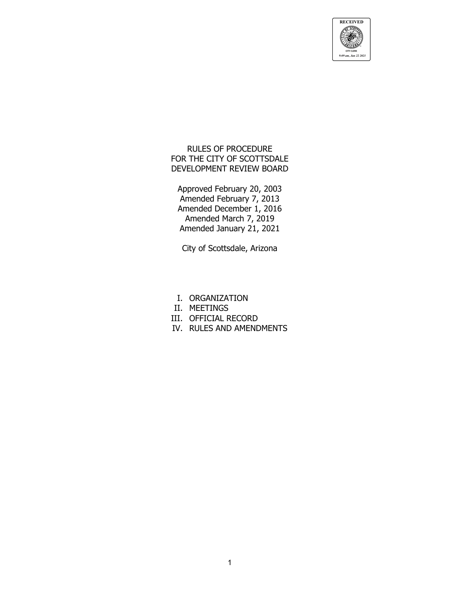

RULES OF PROCEDURE FOR THE CITY OF SCOTTSDALE DEVELOPMENT REVIEW BOARD

Approved February 20, 2003 Amended February 7, 2013 Amended December 1, 2016 Amended March 7, 2019 Amended January 21, 2021

City of Scottsdale, Arizona

- I. ORGANIZATION
- II. MEETINGS
- III. OFFICIAL RECORD
- IV. RULES AND AMENDMENTS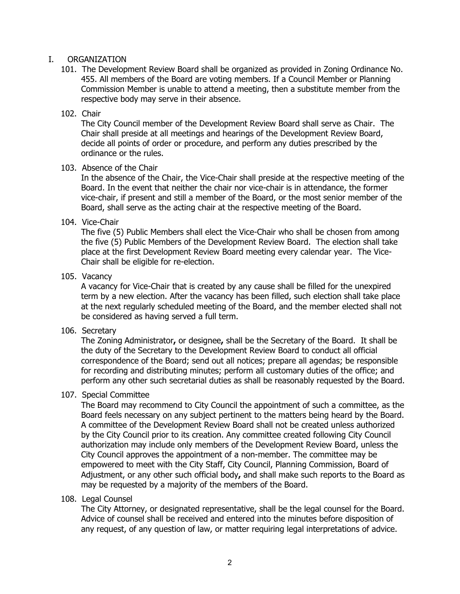### I. ORGANIZATION

101. The Development Review Board shall be organized as provided in Zoning Ordinance No. 455. All members of the Board are voting members. If a Council Member or Planning Commission Member is unable to attend a meeting, then a substitute member from the respective body may serve in their absence.

#### 102. Chair

The City Council member of the Development Review Board shall serve as Chair. The Chair shall preside at all meetings and hearings of the Development Review Board, decide all points of order or procedure, and perform any duties prescribed by the ordinance or the rules.

#### 103. Absence of the Chair

In the absence of the Chair, the Vice-Chair shall preside at the respective meeting of the Board. In the event that neither the chair nor vice-chair is in attendance, the former vice-chair, if present and still a member of the Board, or the most senior member of the Board, shall serve as the acting chair at the respective meeting of the Board.

#### 104. Vice-Chair

The five (5) Public Members shall elect the Vice-Chair who shall be chosen from among the five (5) Public Members of the Development Review Board. The election shall take place at the first Development Review Board meeting every calendar year. The Vice-Chair shall be eligible for re-election.

#### 105. Vacancy

A vacancy for Vice-Chair that is created by any cause shall be filled for the unexpired term by a new election. After the vacancy has been filled, such election shall take place at the next regularly scheduled meeting of the Board, and the member elected shall not be considered as having served a full term.

## 106. Secretary

The Zoning Administrator**,** or designee**,** shall be the Secretary of the Board. It shall be the duty of the Secretary to the Development Review Board to conduct all official correspondence of the Board; send out all notices; prepare all agendas; be responsible for recording and distributing minutes; perform all customary duties of the office; and perform any other such secretarial duties as shall be reasonably requested by the Board.

## 107. Special Committee

The Board may recommend to City Council the appointment of such a committee, as the Board feels necessary on any subject pertinent to the matters being heard by the Board. A committee of the Development Review Board shall not be created unless authorized by the City Council prior to its creation. Any committee created following City Council authorization may include only members of the Development Review Board, unless the City Council approves the appointment of a non-member. The committee may be empowered to meet with the City Staff, City Council, Planning Commission, Board of Adjustment, or any other such official body**,** and shall make such reports to the Board as may be requested by a majority of the members of the Board.

## 108. Legal Counsel

The City Attorney, or designated representative, shall be the legal counsel for the Board. Advice of counsel shall be received and entered into the minutes before disposition of any request, of any question of law, or matter requiring legal interpretations of advice.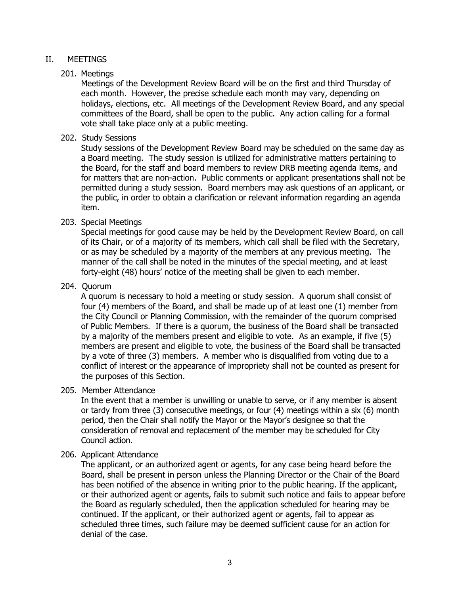## II. MEETINGS

# 201. Meetings

Meetings of the Development Review Board will be on the first and third Thursday of each month. However, the precise schedule each month may vary, depending on holidays, elections, etc. All meetings of the Development Review Board, and any special committees of the Board, shall be open to the public. Any action calling for a formal vote shall take place only at a public meeting.

#### 202. Study Sessions

Study sessions of the Development Review Board may be scheduled on the same day as a Board meeting. The study session is utilized for administrative matters pertaining to the Board, for the staff and board members to review DRB meeting agenda items, and for matters that are non-action. Public comments or applicant presentations shall not be permitted during a study session. Board members may ask questions of an applicant, or the public, in order to obtain a clarification or relevant information regarding an agenda item.

## 203. Special Meetings

Special meetings for good cause may be held by the Development Review Board, on call of its Chair, or of a majority of its members, which call shall be filed with the Secretary, or as may be scheduled by a majority of the members at any previous meeting. The manner of the call shall be noted in the minutes of the special meeting, and at least forty-eight (48) hours' notice of the meeting shall be given to each member.

## 204. Quorum

A quorum is necessary to hold a meeting or study session. A quorum shall consist of four (4) members of the Board, and shall be made up of at least one (1) member from the City Council or Planning Commission, with the remainder of the quorum comprised of Public Members. If there is a quorum, the business of the Board shall be transacted by a majority of the members present and eligible to vote. As an example, if five (5) members are present and eligible to vote, the business of the Board shall be transacted by a vote of three (3) members. A member who is disqualified from voting due to a conflict of interest or the appearance of impropriety shall not be counted as present for the purposes of this Section.

## 205. Member Attendance

In the event that a member is unwilling or unable to serve, or if any member is absent or tardy from three (3) consecutive meetings, or four (4) meetings within a six (6) month period, then the Chair shall notify the Mayor or the Mayor's designee so that the consideration of removal and replacement of the member may be scheduled for City Council action.

## 206. Applicant Attendance

The applicant, or an authorized agent or agents, for any case being heard before the Board, shall be present in person unless the Planning Director or the Chair of the Board has been notified of the absence in writing prior to the public hearing. If the applicant, or their authorized agent or agents, fails to submit such notice and fails to appear before the Board as regularly scheduled, then the application scheduled for hearing may be continued. If the applicant, or their authorized agent or agents, fail to appear as scheduled three times, such failure may be deemed sufficient cause for an action for denial of the case.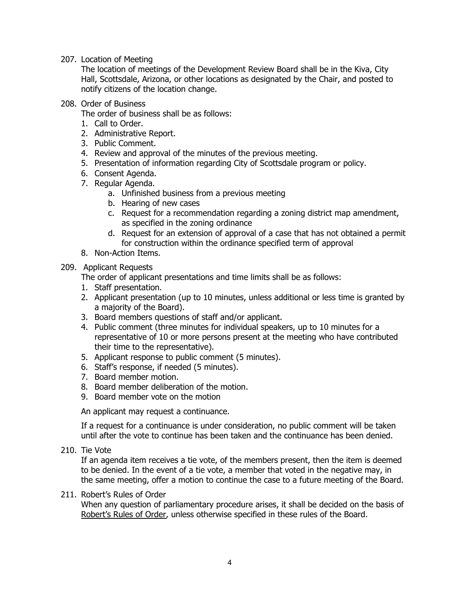207. Location of Meeting

The location of meetings of the Development Review Board shall be in the Kiva, City Hall, Scottsdale, Arizona, or other locations as designated by the Chair, and posted to notify citizens of the location change.

208. Order of Business

The order of business shall be as follows:

- 1. Call to Order.
- 2. Administrative Report.
- 3. Public Comment.
- 4. Review and approval of the minutes of the previous meeting.
- 5. Presentation of information regarding City of Scottsdale program or policy.
- 6. Consent Agenda.
- 7. Regular Agenda.
	- a. Unfinished business from a previous meeting
	- b. Hearing of new cases
	- c. Request for a recommendation regarding a zoning district map amendment, as specified in the zoning ordinance
	- d. Request for an extension of approval of a case that has not obtained a permit for construction within the ordinance specified term of approval
- 8. Non-Action Items.

## 209. Applicant Requests

The order of applicant presentations and time limits shall be as follows:

- 1. Staff presentation.
- 2. Applicant presentation (up to 10 minutes, unless additional or less time is granted by a majority of the Board).
- 3. Board members questions of staff and/or applicant.
- 4. Public comment (three minutes for individual speakers, up to 10 minutes for a representative of 10 or more persons present at the meeting who have contributed their time to the representative).
- 5. Applicant response to public comment (5 minutes).
- 6. Staff's response, if needed (5 minutes).
- 7. Board member motion.
- 8. Board member deliberation of the motion.
- 9. Board member vote on the motion

An applicant may request a continuance.

If a request for a continuance is under consideration, no public comment will be taken until after the vote to continue has been taken and the continuance has been denied.

210. Tie Vote

If an agenda item receives a tie vote, of the members present, then the item is deemed to be denied. In the event of a tie vote, a member that voted in the negative may, in the same meeting, offer a motion to continue the case to a future meeting of the Board.

## 211. Robert's Rules of Order

When any question of parliamentary procedure arises, it shall be decided on the basis of Robert's Rules of Order, unless otherwise specified in these rules of the Board.